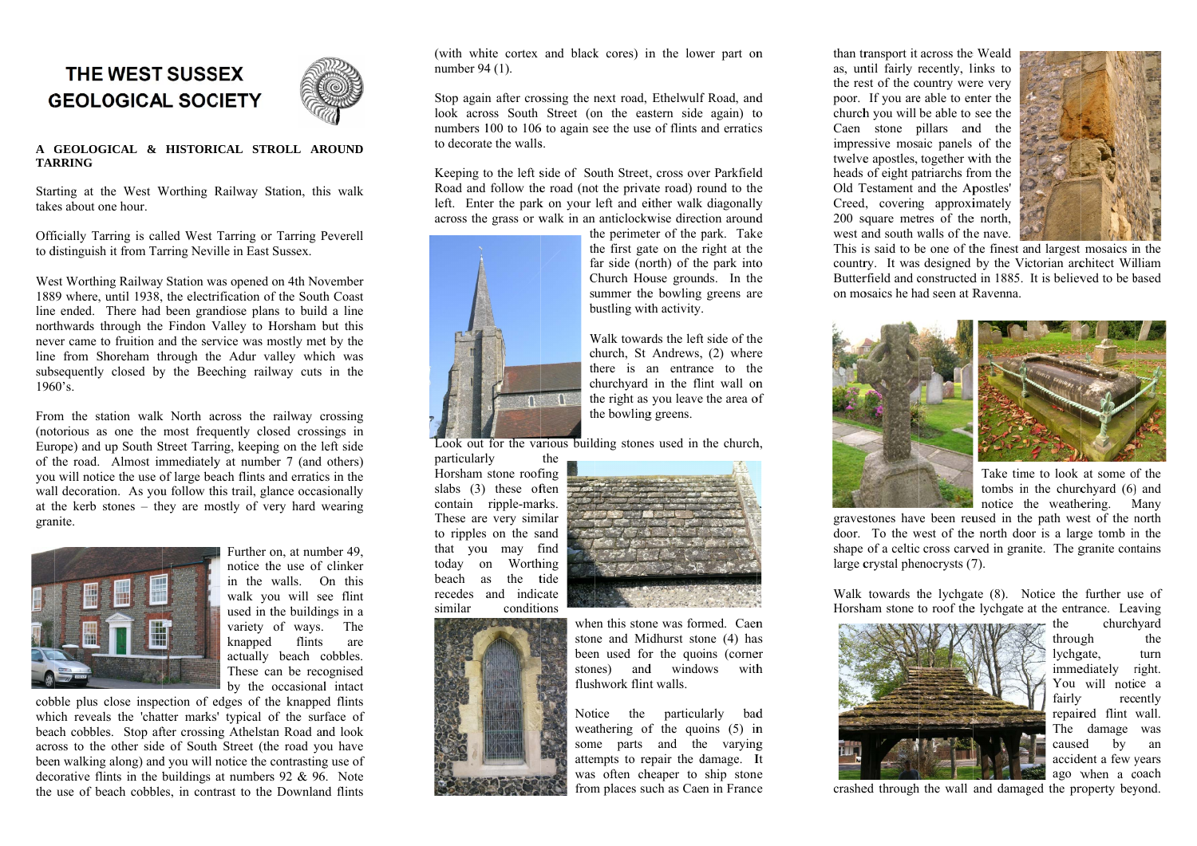## THE WEST SUSSEX **GEOLOGICAL SOCIETY**



## A GEOLOGICAL & HISTORICAL STROLL AROUND **TARRING**

Starting at the West Worthing Railway Station, this walk takes about one hour.

Officially Tarring is called West Tarring or Tarring Peverell to distinguish it from Tarring Neville in East Sussex.

West Worthing Railway Station was opened on 4th November 1889 where, until 1938, the electrification of the South Coast line ended. There had been grandiose plans to build a line northwards through the Findon Valley to Horsham but this never came to fruition and the service was mostly met by the line from Shoreham through the Adur valley which was subsequently closed by the Beeching railway cuts in the 1960's.

From the station walk North across the railway crossing (notorious as one the most frequently closed crossings in Europe) and up South Street Tarring, keeping on the left side of the road. Almost immediately at number 7 (and others) you will notice the use of large beach flints and erratics in the wall decoration. As you follow this trail, glance occasionally at the kerb stones  $-$  they are mostly of very hard wearing granite.



Further on, at number 49. notice the use of clinker in the walls. On this walk you will see flint used in the buildings in a variety of ways. The knapped flints are actually beach cobbles. These can be recognised by the occasional intact

cobble plus close inspection of edges of the knapped flints which reveals the 'chatter marks' typical of the surface of beach cobbles. Stop after crossing Athelstan Road and look across to the other side of South Street (the road you have been walking along) and you will notice the contrasting use of decorative flints in the buildings at numbers  $92 \& 96$ . Note the use of beach cobbles, in contrast to the Downland flints

(with white cortex and black cores) in the lower part on number 94 (1).

Stop again after crossing the next road, Ethelwulf Road, and look across South Street (on the eastern side again) to numbers 100 to 106 to again see the use of flints and erratics to decorate the walls.

Keeping to the left side of South Street, cross over Parkfield Road and follow the road (not the private road) round to the left. Enter the park on your left and either walk diagonally across the grass or walk in an anticlockwise direction around



the perimeter of the park. Take the first gate on the right at the far side (north) of the park into Church House grounds. In the summer the bowling greens are bustling with activity.

Walk towards the left side of the church. St Andrews. (2) where there is an entrance to the churchyard in the flint wall on the right as you leave the area of the bowling greens.

Look out for the various building stones used in the church,

particularly the Horsham stone roofing slabs (3) these often contain ripple-marks. These are very similar to ripples on the sand that you may find today on Worthing beach as the tide recedes and indicate conditions similar



when this stone was formed. Caen stone and Midhurst stone (4) has been used for the quoins (corner stones) and windows with flushwork flint walls.

Notice the particularly bad weathering of the quoins  $(5)$  in some parts and the varying attempts to repair the damage. It was often cheaper to ship stone from places such as Caen in France



Walk towards the lychgate (8). Notice the further use of Horsham stone to roof the lychgate at the entrance. Leaving



than transport it across the Weald as, until fairly recently, links to the rest of the country were very poor. If you are able to enter the church you will be able to see the Caen stone pillars and the impressive mosaic panels of the twelve apostles, together with the heads of eight patriarchs from the Old Testament and the Apostles' Creed, covering approximately 200 square metres of the north, west and south walls of the nave.



This is said to be one of the finest and largest mosaics in the country. It was designed by the Victorian architect William Butterfield and constructed in 1885. It is believed to be based on mosaics he had seen at Ravenna.

notice the weathering. Many

gravestones have been reused in the path west of the north door. To the west of the north door is a large tomb in the shape of a celtic cross carved in granite. The granite contains large crystal phenocrysts (7).

> churchyard the through the lychgate. turn immediately right. You will notice a fairly recently repaired flint wall. The damage was caused  $by$ an accident a few years ago when a coach

crashed through the wall and damaged the property beyond.